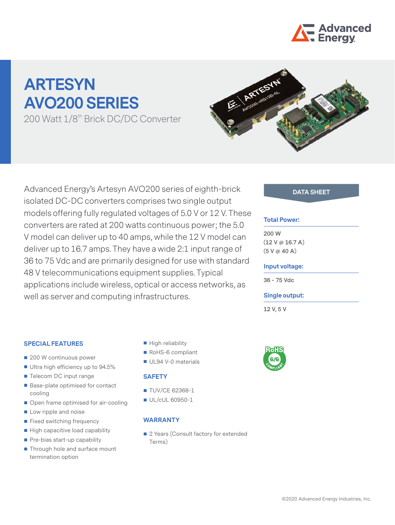

# **ARTESYN AVO200 SERIES**

200 Watt 1/8<sup>th</sup> Brick DC/DC Converter



Advanced Energy's Artesyn AVO200 series of eighth-brick **DATA SHEET** isolated DC-DC converters comprises two single output models offering fully regulated voltages of 5.0 V or 12 V. These converters are rated at 200 watts continuous power; the 5.0 V model can deliver up to 40 amps, while the 12 V model can deliver up to 16.7 amps. They have a wide 2:1 input range of 36 to 75 Vdc and are primarily designed for use with standard 48 V telecommunications equipment supplies. Typical applications include wireless, optical or access networks, as well as server and computing infrastructures.

### **SPECIAL FEATURES**

- 200 W continuous power
- Ultra high efficiency up to 94.5%
- Telecom DC input range
- Base-plate optimised for contact cooling
- Open frame optimised for air-cooling
- **Low ripple and noise**
- Fixed switching frequency
- $\blacksquare$  High capacitive load capability
- Pre-bias start-up capability
- Through hole and surface mount termination option
- High reliability
- RoHS-6 compliant
- UL94 V-0 materials

#### **SAFETY**

- **TUV/CE 62368-1**
- UL/cUL 60950-1

#### **WARRANTY**

■ 2 Years (Consult factory for extended Terms)

#### **Total Power:**

**200 W (12 V @ 16.7 A) (5 V @ 40 A)**

#### **Input voltage:**

**36 - 75 Vdc**

#### **Single output:**

**12 V, 5 V**

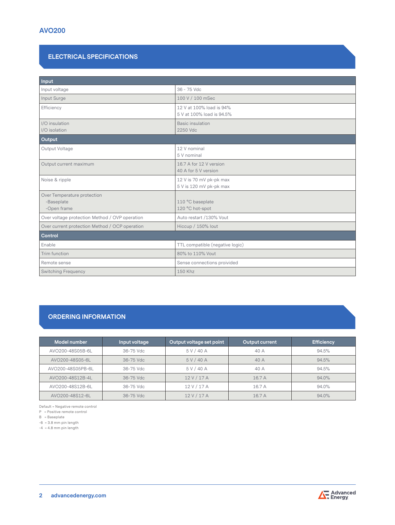# **ELECTRICAL SPECIFICATIONS**

| Input                                                    |                                                       |  |
|----------------------------------------------------------|-------------------------------------------------------|--|
| Input voltage                                            | 36 - 75 Vdc                                           |  |
| Input Surge                                              | 100 V / 100 mSec                                      |  |
| Efficiency                                               | 12 V at 100% load is 94%<br>5 V at 100% load is 94.5% |  |
| I/O insulation<br>I/O isolation                          | Basic insulation<br>2250 Vdc                          |  |
| Output                                                   |                                                       |  |
| Output Voltage                                           | 12 V nominal<br>5 V nominal                           |  |
| Output current maximum                                   | 16.7 A for 12 V version<br>40 A for 5 V version       |  |
| Noise & ripple                                           | 12 V is 70 mV pk-pk max<br>5 V is 120 mV pk-pk max    |  |
| Over Temperature protection<br>-Baseplate<br>-Open frame | 110 °C baseplate<br>120 °C hot-spot                   |  |
| Over voltage protection Method / OVP operation           | Auto restart /130% Vout                               |  |
| Over current protection Method / OCP operation           | Hiccup / 150% lout                                    |  |
| Control                                                  |                                                       |  |
| Enable                                                   | TTL compatible (negative logic)                       |  |
| Trim function                                            | 80% to 110% Vout                                      |  |
| Remote sense                                             | Sense connections proivided                           |  |
| <b>Switching Frequency</b>                               | 150 Khz                                               |  |

# **ORDERING INFORMATION**

| Model number      | Input voltage | Output voltage set point | <b>Output current</b> | <b>Efficiency</b> |
|-------------------|---------------|--------------------------|-----------------------|-------------------|
| AVO200-48S05B-6L  | 36-75 Vdc     | 5 V/40 A                 | 40 A                  | 94.5%             |
| AVO200-48S05-6L   | 36-75 Vdc     | 5 V / 40 A               | 40A                   | 94.5%             |
| AVO200-48S05PB-6L | 36-75 Vdc     | 5 V/40 A                 | 40 A                  | 94.5%             |
| AVO200-48S12B-4L  | 36-75 Vdc     | 12V/17A                  | 16.7A                 | 94.0%             |
| AVO200-48S12B-6L  | 36-75 Vdc     | 12 V / 17 A              | 16.7 A                | 94.0%             |
| AVO200-48S12-6L   | 36-75 Vdc     | 12V/17A                  | 16.7 A                | 94.0%             |

Default = Negative remote control

P = Positive remote control

B = Baseplate

-6 = 3.8 mm pin length

-4 = 4.8 mm pin length

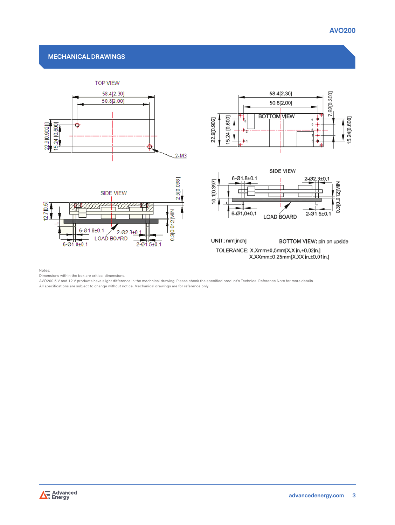## **MECHANICAL DRAWINGS**



Notes:

Dimensions within the box are critical dimensions.

AVO200 5 V and 12 V products have slight difference in the mechnical drawing. Please check the specified product's Technical Reference Note for more details. All specifications are subject to change without notice. Mechanical drawings are for reference only.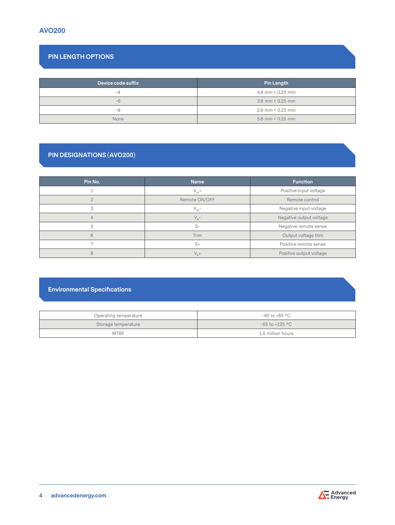# **PIN LENGTH OPTIONS**

| Device code suffix | Pin Length             |
|--------------------|------------------------|
| $-4$               | 4.8 mm $\pm$ 0.25 mm   |
| $-6$               | 3.8 mm $\pm$ 0.25 mm   |
| -8                 | $2.8$ mm $\pm$ 0.25 mm |
| None               | 5.8 mm $\pm$ 0.25 mm   |

# **PIN DESIGNATIONS (AVO200)**

| Pin No. | <b>Name</b>   | <b>Function</b>         |
|---------|---------------|-------------------------|
|         | $V_{in}+$     | Positive input voltage  |
|         | Remote ON/OFF | Remote control          |
| 3       | $V_{in}$ -    | Negative input voltage  |
|         | $V_{o}$ -     | Negative output voltage |
| 5       | $S-$          | Negative remote sense   |
| 6       | Trim          | Output voltage trim     |
|         | $S+$          | Positive remote sense   |
| 8       | $V_0^+$       | Positive output voltage |

# **Environmental Specifications**

| Operating temperature | -40 to +85 °C      |
|-----------------------|--------------------|
| Storage temperature   | $-55$ to $+125$ °C |
| <b>MTBF</b>           | 1.5 million hours  |